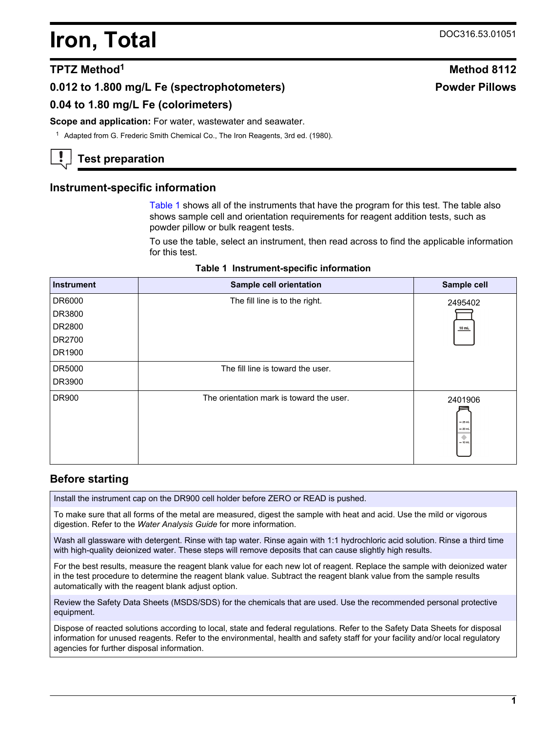# <span id="page-0-0"></span>**Iron, Total** DOC316.53.01051

# **0.012 to 1.800 mg/L Fe (spectrophotometers)**

# **0.04 to 1.80 mg/L Fe (colorimeters)**

#### **Scope and application:** For water, wastewater and seawater.

<sup>1</sup> Adapted from G. Frederic Smith Chemical Co., The Iron Reagents, 3rd ed. (1980).

# **Test preparation**

#### **Instrument-specific information**

Table 1 shows all of the instruments that have the program for this test. The table also shows sample cell and orientation requirements for reagent addition tests, such as powder pillow or bulk reagent tests.

To use the table, select an instrument, then read across to find the applicable information for this test.

|  | Table 1 Instrument-specific information |  |
|--|-----------------------------------------|--|
|--|-----------------------------------------|--|

| <b>Instrument</b> | Sample cell orientation                  | Sample cell                                        |
|-------------------|------------------------------------------|----------------------------------------------------|
| DR6000            | The fill line is to the right.           | 2495402                                            |
| DR3800            |                                          |                                                    |
| DR2800            |                                          | $10$ mL                                            |
| DR2700            |                                          |                                                    |
| DR1900            |                                          |                                                    |
| DR5000            | The fill line is toward the user.        |                                                    |
| DR3900            |                                          |                                                    |
| DR900             | The orientation mark is toward the user. | 2401906<br>$-25$ mL<br>$= 20$ mL<br>۰<br>$= 10$ mL |

# **Before starting**

Install the instrument cap on the DR900 cell holder before ZERO or READ is pushed.

To make sure that all forms of the metal are measured, digest the sample with heat and acid. Use the mild or vigorous digestion. Refer to the *Water Analysis Guide* for more information.

Wash all glassware with detergent. Rinse with tap water. Rinse again with 1:1 hydrochloric acid solution. Rinse a third time with high-quality deionized water. These steps will remove deposits that can cause slightly high results.

For the best results, measure the reagent blank value for each new lot of reagent. Replace the sample with deionized water in the test procedure to determine the reagent blank value. Subtract the reagent blank value from the sample results automatically with the reagent blank adjust option.

Review the Safety Data Sheets (MSDS/SDS) for the chemicals that are used. Use the recommended personal protective equipment.

Dispose of reacted solutions according to local, state and federal regulations. Refer to the Safety Data Sheets for disposal information for unused reagents. Refer to the environmental, health and safety staff for your facility and/or local regulatory agencies for further disposal information.

# **TPTZ** Method<sup>1</sup> **Method** 8112 **Powder Pillows**

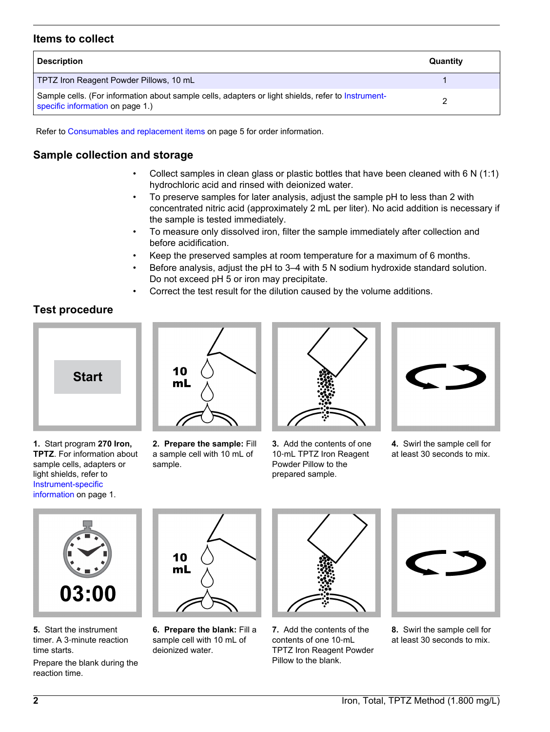# **Items to collect**

| <b>Description</b>                                                                                                                     | Quantity |
|----------------------------------------------------------------------------------------------------------------------------------------|----------|
| TPTZ Iron Reagent Powder Pillows, 10 mL                                                                                                |          |
| Sample cells. (For information about sample cells, adapters or light shields, refer to Instrument-<br>specific information on page 1.) |          |

Refer to [Consumables and replacement items](#page-4-0) on page 5 for order information.

# **Sample collection and storage**

- Collect samples in clean glass or plastic bottles that have been cleaned with 6 N (1:1) hydrochloric acid and rinsed with deionized water.
- To preserve samples for later analysis, adjust the sample pH to less than 2 with concentrated nitric acid (approximately 2 mL per liter). No acid addition is necessary if the sample is tested immediately.
- To measure only dissolved iron, filter the sample immediately after collection and before acidification.
- Keep the preserved samples at room temperature for a maximum of 6 months.
- Before analysis, adjust the pH to 3–4 with 5 N sodium hydroxide standard solution. Do not exceed pH 5 or iron may precipitate.
- Correct the test result for the dilution caused by the volume additions.

**Test procedure**



**1.** Start program **270 Iron, TPTZ**. For information about sample cells, adapters or light shields, refer to [Instrument-specific](#page-0-0) [information](#page-0-0) on page 1.



**2. Prepare the sample:** Fill a sample cell with 10 mL of sample.



**3.** Add the contents of one 10‑mL TPTZ Iron Reagent Powder Pillow to the prepared sample.



**4.** Swirl the sample cell for at least 30 seconds to mix.



**5.** Start the instrument timer. A 3‑minute reaction time starts.

Prepare the blank during the reaction time.



**6. Prepare the blank:** Fill a sample cell with 10 mL of deionized water.



**7.** Add the contents of the contents of one 10‑mL TPTZ Iron Reagent Powder Pillow to the blank.



**8.** Swirl the sample cell for at least 30 seconds to mix.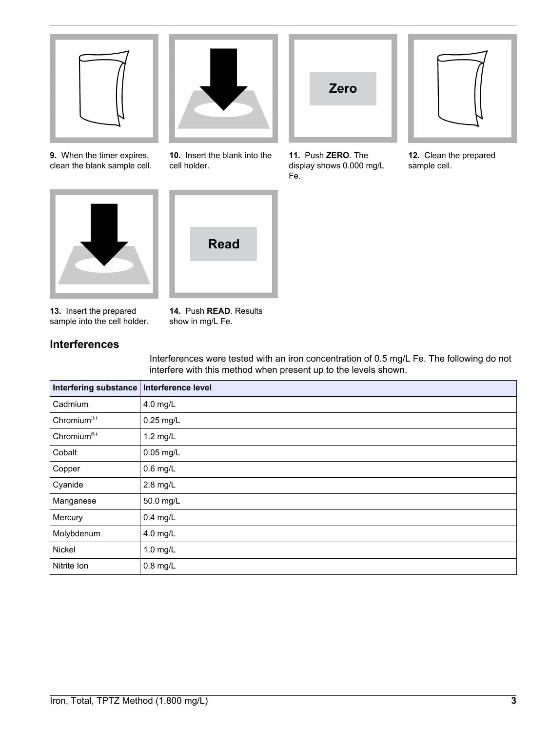

**9.** When the timer expires, clean the blank sample cell.



**10.** Insert the blank into the cell holder.



**11.** Push **ZERO**. The display shows 0.000 mg/L Fe.



**12.** Clean the prepared sample cell.





**13.** Insert the prepared sample into the cell holder. **14.** Push **READ**. Results show in mg/L Fe.

# **Interferences**

Interferences were tested with an iron concentration of 0.5 mg/L Fe. The following do not interfere with this method when present up to the levels shown.

| Interfering substance  | Interference level |
|------------------------|--------------------|
| Cadmium                | 4.0 mg/L           |
| Chromium $3+$          | 0.25 mg/L          |
| Chromium <sup>6+</sup> | $1.2$ mg/L         |
| Cobalt                 | 0.05 mg/L          |
| Copper                 | $0.6$ mg/L         |
| Cyanide                | 2.8 mg/L           |
| Manganese              | 50.0 mg/L          |
| Mercury                | $0.4$ mg/L         |
| Molybdenum             | 4.0 mg/L           |
| Nickel                 | 1.0 mg/L           |
| Nitrite Ion            | $0.8$ mg/L         |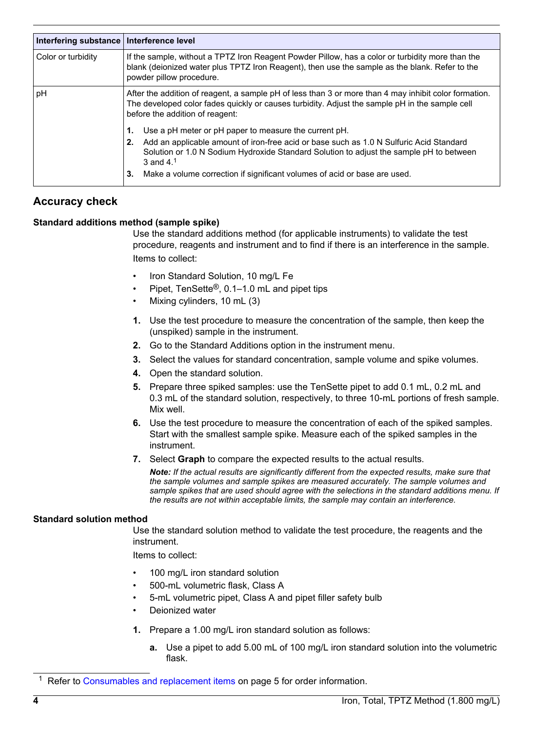| Interfering substance | Interference level                                                                                                                                                                                                                         |
|-----------------------|--------------------------------------------------------------------------------------------------------------------------------------------------------------------------------------------------------------------------------------------|
| Color or turbidity    | If the sample, without a TPTZ Iron Reagent Powder Pillow, has a color or turbidity more than the<br>blank (deionized water plus TPTZ Iron Reagent), then use the sample as the blank. Refer to the<br>powder pillow procedure.             |
| рH                    | After the addition of reagent, a sample pH of less than 3 or more than 4 may inhibit color formation.<br>The developed color fades quickly or causes turbidity. Adjust the sample pH in the sample cell<br>before the addition of reagent: |
|                       | Use a pH meter or pH paper to measure the current pH.<br>1.                                                                                                                                                                                |
|                       | Add an applicable amount of iron-free acid or base such as 1.0 N Sulfuric Acid Standard<br>2.<br>Solution or 1.0 N Sodium Hydroxide Standard Solution to adjust the sample pH to between<br>3 and $41$                                     |
|                       | Make a volume correction if significant volumes of acid or base are used.<br>3.                                                                                                                                                            |

# **Accuracy check**

#### **Standard additions method (sample spike)**

Use the standard additions method (for applicable instruments) to validate the test procedure, reagents and instrument and to find if there is an interference in the sample. Items to collect:

- Iron Standard Solution, 10 mg/L Fe
- Pipet, TenSette®, 0.1–1.0 mL and pipet tips
- Mixing cylinders, 10 mL (3)
- **1.** Use the test procedure to measure the concentration of the sample, then keep the (unspiked) sample in the instrument.
- **2.** Go to the Standard Additions option in the instrument menu.
- **3.** Select the values for standard concentration, sample volume and spike volumes.
- **4.** Open the standard solution.
- **5.** Prepare three spiked samples: use the TenSette pipet to add 0.1 mL, 0.2 mL and 0.3 mL of the standard solution, respectively, to three 10-mL portions of fresh sample. Mix well.
- **6.** Use the test procedure to measure the concentration of each of the spiked samples. Start with the smallest sample spike. Measure each of the spiked samples in the instrument.
- **7.** Select **Graph** to compare the expected results to the actual results.

*Note: If the actual results are significantly different from the expected results, make sure that the sample volumes and sample spikes are measured accurately. The sample volumes and sample spikes that are used should agree with the selections in the standard additions menu. If the results are not within acceptable limits, the sample may contain an interference.*

#### **Standard solution method**

Use the standard solution method to validate the test procedure, the reagents and the instrument.

Items to collect:

- 100 mg/L iron standard solution
- 500-mL volumetric flask, Class A
- 5-mL volumetric pipet, Class A and pipet filler safety bulb
- Deionized water
- **1.** Prepare a 1.00 mg/L iron standard solution as follows:
	- **a.** Use a pipet to add 5.00 mL of 100 mg/L iron standard solution into the volumetric flask.

<sup>&</sup>lt;sup>1</sup> Refer to [Consumables and replacement items](#page-4-0) on page 5 for order information.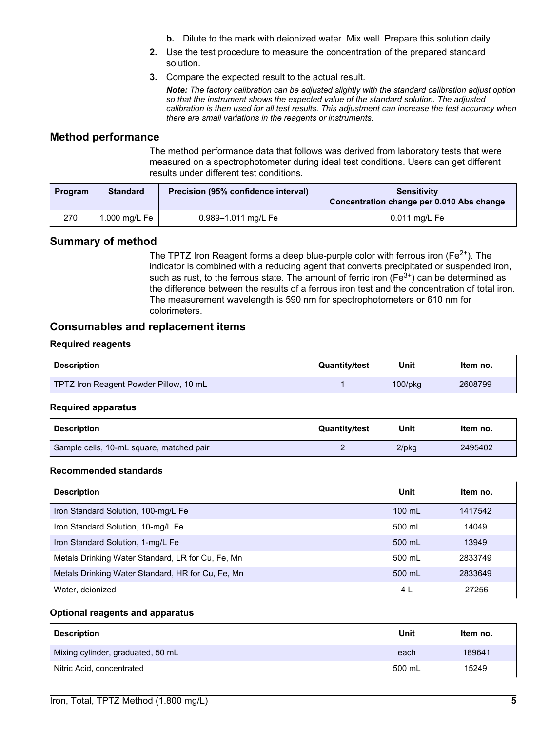- **b.** Dilute to the mark with deionized water. Mix well. Prepare this solution daily.
- **2.** Use the test procedure to measure the concentration of the prepared standard solution.
- **3.** Compare the expected result to the actual result.

*Note: The factory calibration can be adjusted slightly with the standard calibration adjust option so that the instrument shows the expected value of the standard solution. The adjusted calibration is then used for all test results. This adjustment can increase the test accuracy when there are small variations in the reagents or instruments.*

### <span id="page-4-0"></span>**Method performance**

The method performance data that follows was derived from laboratory tests that were measured on a spectrophotometer during ideal test conditions. Users can get different results under different test conditions.

| Program | <b>Standard</b> | Precision (95% confidence interval) | <b>Sensitivity</b><br>Concentration change per 0.010 Abs change |
|---------|-----------------|-------------------------------------|-----------------------------------------------------------------|
| 270     | 1.000 mg/L Fe   | 0.989-1.011 mg/L Fe                 | $0.011$ mg/L Fe                                                 |

# **Summary of method**

The TPTZ Iron Reagent forms a deep blue-purple color with ferrous iron ( $Fe<sup>2+</sup>$ ). The indicator is combined with a reducing agent that converts precipitated or suspended iron, such as rust, to the ferrous state. The amount of ferric iron ( $Fe<sup>3+</sup>$ ) can be determined as the difference between the results of a ferrous iron test and the concentration of total iron. The measurement wavelength is 590 nm for spectrophotometers or 610 nm for colorimeters.

#### **Consumables and replacement items**

#### **Required reagents**

| <b>Description</b>                     | <b>Quantity/test</b> | Unit          | ltem no. |
|----------------------------------------|----------------------|---------------|----------|
| TPTZ Iron Reagent Powder Pillow, 10 mL |                      | $100$ /p $ka$ | 2608799  |

#### **Required apparatus**

| <b>Description</b>                       | <b>Quantity/test</b> | Unit     | Item no. |
|------------------------------------------|----------------------|----------|----------|
| Sample cells, 10-mL square, matched pair |                      | $2$ /pkq | 2495402  |

#### **Recommended standards**

| <b>Description</b>                                | Unit   | Item no. |
|---------------------------------------------------|--------|----------|
| Iron Standard Solution, 100-mg/L Fe               | 100 mL | 1417542  |
| Iron Standard Solution, 10-mg/L Fe                | 500 mL | 14049    |
| Iron Standard Solution, 1-mg/L Fe                 | 500 mL | 13949    |
| Metals Drinking Water Standard, LR for Cu, Fe, Mn | 500 ml | 2833749  |
| Metals Drinking Water Standard, HR for Cu, Fe, Mn | 500 mL | 2833649  |
| Water, deionized                                  | 4 L    | 27256    |

#### **Optional reagents and apparatus**

| <b>Description</b>                | Unit   | Item no. |
|-----------------------------------|--------|----------|
| Mixing cylinder, graduated, 50 mL | each   | 189641   |
| Nitric Acid, concentrated         | 500 mL | 15249    |